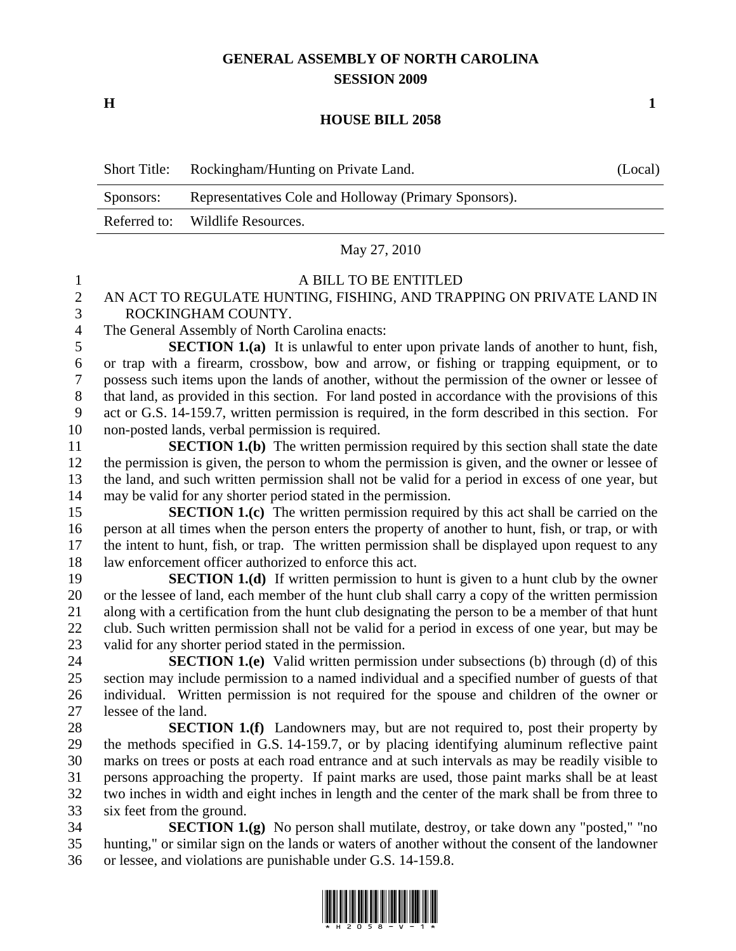# **GENERAL ASSEMBLY OF NORTH CAROLINA SESSION 2009**

**H** 1

### **HOUSE BILL 2058**

| <b>Short Title:</b> | Rockingham/Hunting on Private Land.                   | (Local) |
|---------------------|-------------------------------------------------------|---------|
| Sponsors:           | Representatives Cole and Holloway (Primary Sponsors). |         |
|                     | Referred to: Wildlife Resources.                      |         |

#### May 27, 2010

#### 1 A BILL TO BE ENTITLED

## 2 AN ACT TO REGULATE HUNTING, FISHING, AND TRAPPING ON PRIVATE LAND IN 3 ROCKINGHAM COUNTY.

4 The General Assembly of North Carolina enacts:

5 **SECTION 1.(a)** It is unlawful to enter upon private lands of another to hunt, fish, 6 or trap with a firearm, crossbow, bow and arrow, or fishing or trapping equipment, or to 7 possess such items upon the lands of another, without the permission of the owner or lessee of 8 that land, as provided in this section. For land posted in accordance with the provisions of this 9 act or G.S. 14-159.7, written permission is required, in the form described in this section. For 10 non-posted lands, verbal permission is required.

11 **SECTION 1.(b)** The written permission required by this section shall state the date 12 the permission is given, the person to whom the permission is given, and the owner or lessee of 13 the land, and such written permission shall not be valid for a period in excess of one year, but 14 may be valid for any shorter period stated in the permission.

15 **SECTION 1.(c)** The written permission required by this act shall be carried on the 16 person at all times when the person enters the property of another to hunt, fish, or trap, or with 17 the intent to hunt, fish, or trap. The written permission shall be displayed upon request to any 18 law enforcement officer authorized to enforce this act.

19 **SECTION 1.(d)** If written permission to hunt is given to a hunt club by the owner 20 or the lessee of land, each member of the hunt club shall carry a copy of the written permission 21 along with a certification from the hunt club designating the person to be a member of that hunt 22 club. Such written permission shall not be valid for a period in excess of one year, but may be 23 valid for any shorter period stated in the permission.

24 **SECTION 1.(e)** Valid written permission under subsections (b) through (d) of this 25 section may include permission to a named individual and a specified number of guests of that 26 individual. Written permission is not required for the spouse and children of the owner or 27 lessee of the land.

28 **SECTION 1.(f)** Landowners may, but are not required to, post their property by 29 the methods specified in G.S. 14-159.7, or by placing identifying aluminum reflective paint 30 marks on trees or posts at each road entrance and at such intervals as may be readily visible to 31 persons approaching the property. If paint marks are used, those paint marks shall be at least 32 two inches in width and eight inches in length and the center of the mark shall be from three to 33 six feet from the ground.

34 **SECTION 1.(g)** No person shall mutilate, destroy, or take down any "posted," "no 35 hunting," or similar sign on the lands or waters of another without the consent of the landowner 36 or lessee, and violations are punishable under G.S. 14-159.8.